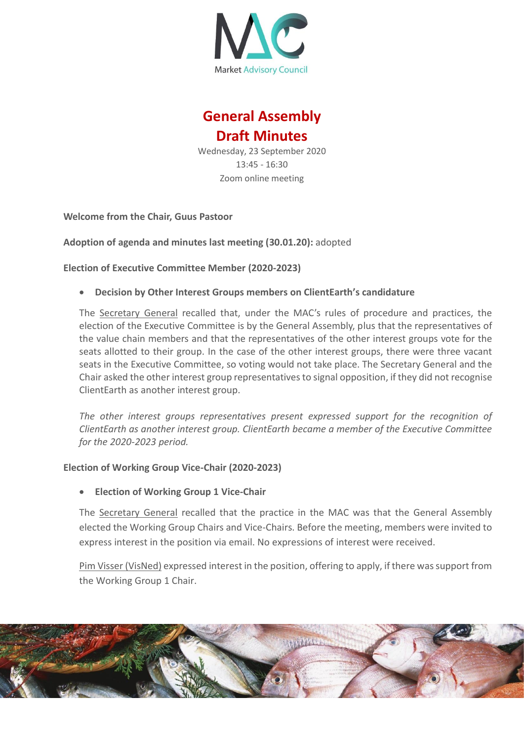

# **General Assembly Draft Minutes**

Wednesday, 23 September 2020 13:45 - 16:30 Zoom online meeting

**Welcome from the Chair, Guus Pastoor**

**Adoption of agenda and minutes last meeting (30.01.20):** adopted

**Election of Executive Committee Member (2020-2023)**

• **Decision by Other Interest Groups members on ClientEarth's candidature**

The Secretary General recalled that, under the MAC's rules of procedure and practices, the election of the Executive Committee is by the General Assembly, plus that the representatives of the value chain members and that the representatives of the other interest groups vote for the seats allotted to their group. In the case of the other interest groups, there were three vacant seats in the Executive Committee, so voting would not take place. The Secretary General and the Chair asked the other interest group representatives to signal opposition, if they did not recognise ClientEarth as another interest group.

*The other interest groups representatives present expressed support for the recognition of ClientEarth as another interest group. ClientEarth became a member of the Executive Committee for the 2020-2023 period.* 

## **Election of Working Group Vice-Chair (2020-2023)**

• **Election of Working Group 1 Vice-Chair**

The Secretary General recalled that the practice in the MAC was that the General Assembly elected the Working Group Chairs and Vice-Chairs. Before the meeting, members were invited to express interest in the position via email. No expressions of interest were received.

Pim Visser (VisNed) expressed interest in the position, offering to apply, if there was support from the Working Group 1 Chair.

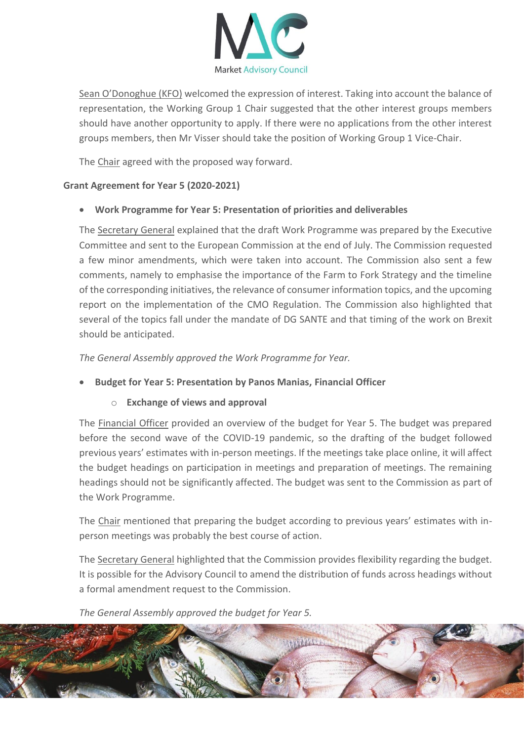

Sean O'Donoghue (KFO) welcomed the expression of interest. Taking into account the balance of representation, the Working Group 1 Chair suggested that the other interest groups members should have another opportunity to apply. If there were no applications from the other interest groups members, then Mr Visser should take the position of Working Group 1 Vice-Chair.

The Chair agreed with the proposed way forward.

## **Grant Agreement for Year 5 (2020-2021)**

# • **Work Programme for Year 5: Presentation of priorities and deliverables**

The Secretary General explained that the draft Work Programme was prepared by the Executive Committee and sent to the European Commission at the end of July. The Commission requested a few minor amendments, which were taken into account. The Commission also sent a few comments, namely to emphasise the importance of the Farm to Fork Strategy and the timeline of the corresponding initiatives, the relevance of consumer information topics, and the upcoming report on the implementation of the CMO Regulation. The Commission also highlighted that several of the topics fall under the mandate of DG SANTE and that timing of the work on Brexit should be anticipated.

*The General Assembly approved the Work Programme for Year.* 

# • **Budget for Year 5: Presentation by Panos Manias, Financial Officer**

## o **Exchange of views and approval**

The Financial Officer provided an overview of the budget for Year 5. The budget was prepared before the second wave of the COVID-19 pandemic, so the drafting of the budget followed previous years' estimates with in-person meetings. If the meetings take place online, it will affect the budget headings on participation in meetings and preparation of meetings. The remaining headings should not be significantly affected. The budget was sent to the Commission as part of the Work Programme.

The Chair mentioned that preparing the budget according to previous years' estimates with inperson meetings was probably the best course of action.

The Secretary General highlighted that the Commission provides flexibility regarding the budget. It is possible for the Advisory Council to amend the distribution of funds across headings without a formal amendment request to the Commission.

*The General Assembly approved the budget for Year 5.* 

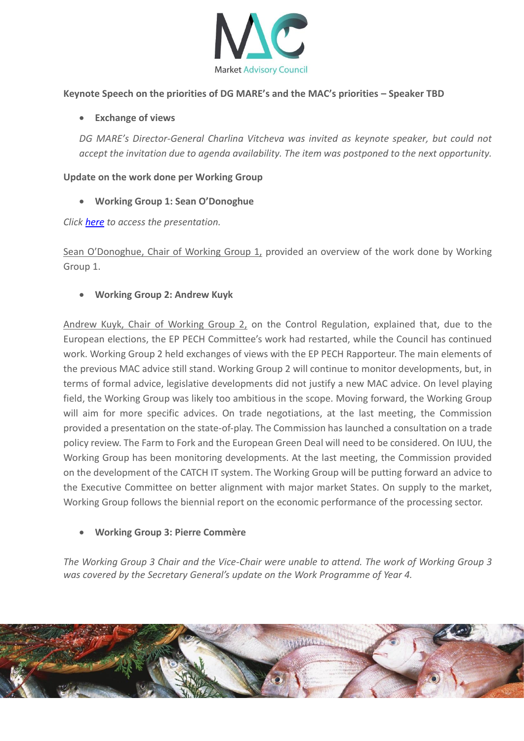

#### **Keynote Speech on the priorities of DG MARE's and the MAC's priorities – Speaker TBD**

#### • **Exchange of views**

*DG MARE's Director-General Charlina Vitcheva was invited as keynote speaker, but could not accept the invitation due to agenda availability. The item was postponed to the next opportunity.* 

#### **Update on the work done per Working Group**

• **Working Group 1: Sean O'Donoghue**

*Click [here](https://marketac.eu/wp-content/uploads/2020/02/WG1-Chair-Presentation-Update-on-Work-Done.pdf) to access the presentation.* 

Sean O'Donoghue, Chair of Working Group 1, provided an overview of the work done by Working Group 1.

• **Working Group 2: Andrew Kuyk**

Andrew Kuyk, Chair of Working Group 2, on the Control Regulation, explained that, due to the European elections, the EP PECH Committee's work had restarted, while the Council has continued work. Working Group 2 held exchanges of views with the EP PECH Rapporteur. The main elements of the previous MAC advice still stand. Working Group 2 will continue to monitor developments, but, in terms of formal advice, legislative developments did not justify a new MAC advice. On level playing field, the Working Group was likely too ambitious in the scope. Moving forward, the Working Group will aim for more specific advices. On trade negotiations, at the last meeting, the Commission provided a presentation on the state-of-play. The Commission has launched a consultation on a trade policy review. The Farm to Fork and the European Green Deal will need to be considered. On IUU, the Working Group has been monitoring developments. At the last meeting, the Commission provided on the development of the CATCH IT system. The Working Group will be putting forward an advice to the Executive Committee on better alignment with major market States. On supply to the market, Working Group follows the biennial report on the economic performance of the processing sector.

#### • **Working Group 3: Pierre Commère**

*The Working Group 3 Chair and the Vice-Chair were unable to attend. The work of Working Group 3 was covered by the Secretary General's update on the Work Programme of Year 4.* 

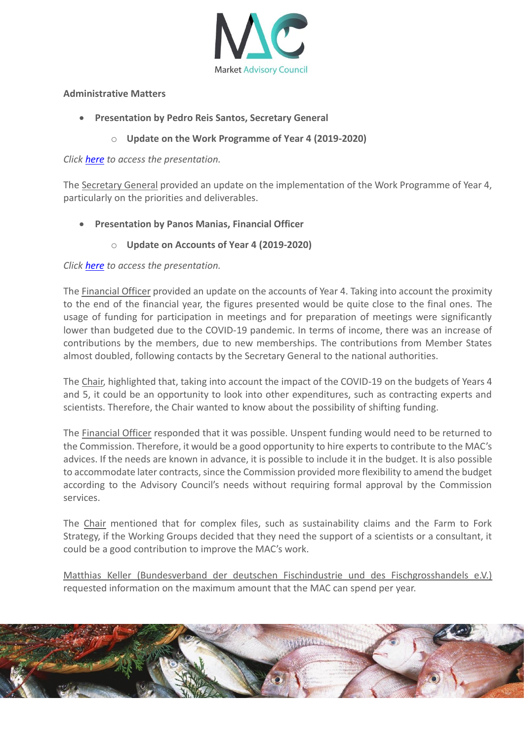

#### **Administrative Matters**

- **Presentation by Pedro Reis Santos, Secretary General**
	- o **Update on the Work Programme of Year 4 (2019-2020)**

#### *Click [here](https://marketac.eu/wp-content/uploads/2020/02/MAC-Secretariat-Presentation-Work-Programme-Year-4-Update.pdf) to access the presentation.*

The Secretary General provided an update on the implementation of the Work Programme of Year 4, particularly on the priorities and deliverables.

- **Presentation by Panos Manias, Financial Officer**
	- o **Update on Accounts of Year 4 (2019-2020)**

## *Click [here](https://marketac.eu/wp-content/uploads/2020/02/MAC-Secretariat-September-Financial-Update-.pdf) to access the presentation.*

The Financial Officer provided an update on the accounts of Year 4. Taking into account the proximity to the end of the financial year, the figures presented would be quite close to the final ones. The usage of funding for participation in meetings and for preparation of meetings were significantly lower than budgeted due to the COVID-19 pandemic. In terms of income, there was an increase of contributions by the members, due to new memberships. The contributions from Member States almost doubled, following contacts by the Secretary General to the national authorities.

The Chair, highlighted that, taking into account the impact of the COVID-19 on the budgets of Years 4 and 5, it could be an opportunity to look into other expenditures, such as contracting experts and scientists. Therefore, the Chair wanted to know about the possibility of shifting funding.

The Financial Officer responded that it was possible. Unspent funding would need to be returned to the Commission. Therefore, it would be a good opportunity to hire experts to contribute to the MAC's advices. If the needs are known in advance, it is possible to include it in the budget. It is also possible to accommodate later contracts, since the Commission provided more flexibility to amend the budget according to the Advisory Council's needs without requiring formal approval by the Commission services.

The Chair mentioned that for complex files, such as sustainability claims and the Farm to Fork Strategy, if the Working Groups decided that they need the support of a scientists or a consultant, it could be a good contribution to improve the MAC's work.

Matthias Keller (Bundesverband der deutschen Fischindustrie und des Fischgrosshandels e.V.) requested information on the maximum amount that the MAC can spend per year.

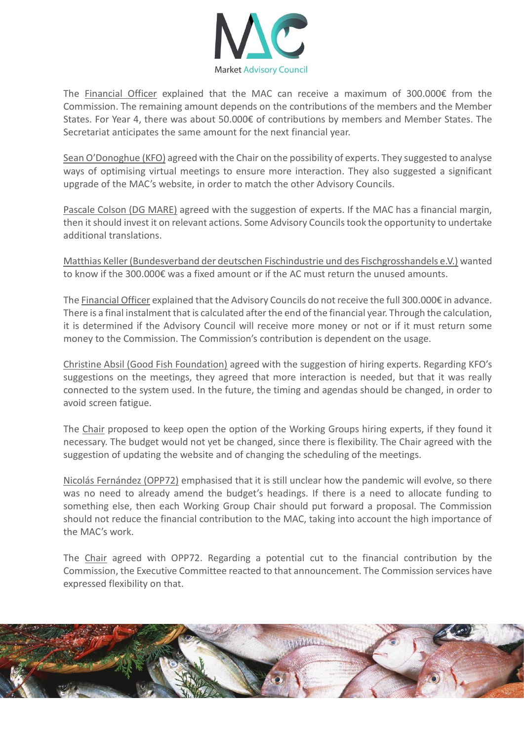

The Financial Officer explained that the MAC can receive a maximum of 300.000€ from the Commission. The remaining amount depends on the contributions of the members and the Member States. For Year 4, there was about 50.000€ of contributions by members and Member States. The Secretariat anticipates the same amount for the next financial year.

Sean O'Donoghue (KFO) agreed with the Chair on the possibility of experts. They suggested to analyse ways of optimising virtual meetings to ensure more interaction. They also suggested a significant upgrade of the MAC's website, in order to match the other Advisory Councils.

Pascale Colson (DG MARE) agreed with the suggestion of experts. If the MAC has a financial margin, then it should invest it on relevant actions. Some Advisory Councils took the opportunity to undertake additional translations.

Matthias Keller (Bundesverband der deutschen Fischindustrie und des Fischgrosshandels e.V.) wanted to know if the 300.000€ was a fixed amount or if the AC must return the unused amounts.

The Financial Officer explained that the Advisory Councils do not receive the full 300.000€ in advance. There is a final instalment that is calculated after the end of the financial year. Through the calculation, it is determined if the Advisory Council will receive more money or not or if it must return some money to the Commission. The Commission's contribution is dependent on the usage.

Christine Absil (Good Fish Foundation) agreed with the suggestion of hiring experts. Regarding KFO's suggestions on the meetings, they agreed that more interaction is needed, but that it was really connected to the system used. In the future, the timing and agendas should be changed, in order to avoid screen fatigue.

The Chair proposed to keep open the option of the Working Groups hiring experts, if they found it necessary. The budget would not yet be changed, since there is flexibility. The Chair agreed with the suggestion of updating the website and of changing the scheduling of the meetings.

Nicolás Fernández (OPP72) emphasised that it is still unclear how the pandemic will evolve, so there was no need to already amend the budget's headings. If there is a need to allocate funding to something else, then each Working Group Chair should put forward a proposal. The Commission should not reduce the financial contribution to the MAC, taking into account the high importance of the MAC's work.

The Chair agreed with OPP72. Regarding a potential cut to the financial contribution by the Commission, the Executive Committee reacted to that announcement. The Commission services have expressed flexibility on that.

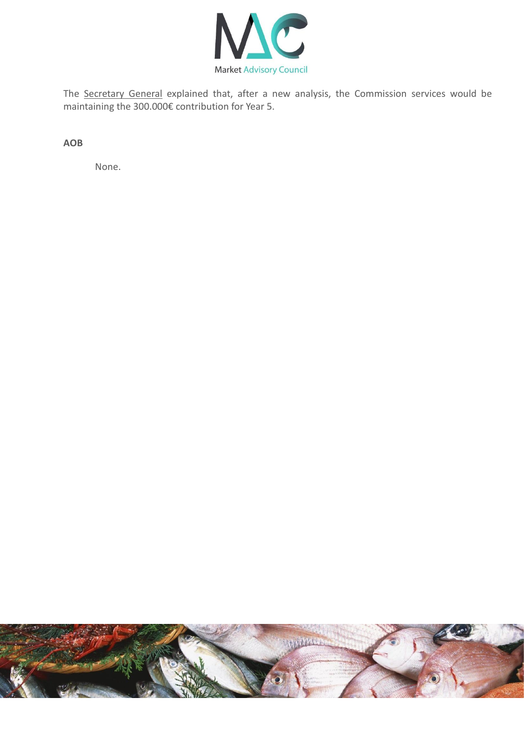

The Secretary General explained that, after a new analysis, the Commission services would be maintaining the 300.000€ contribution for Year 5.

**AOB**

None.

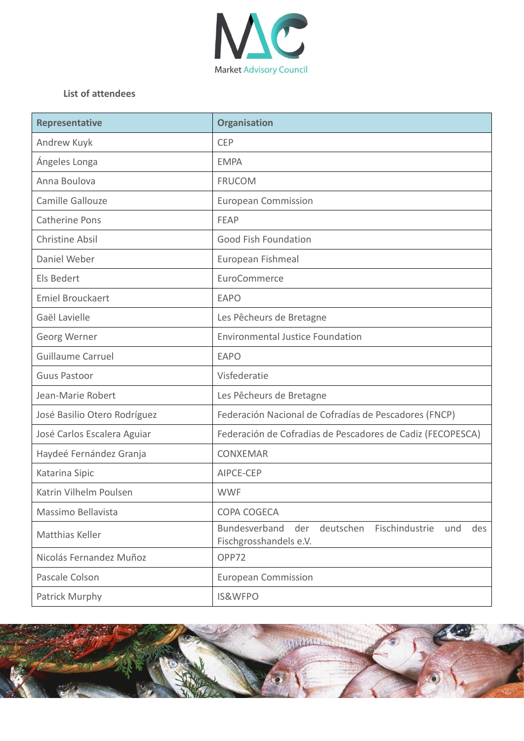

# **List of attendees**

| <b>Representative</b>        | <b>Organisation</b>                                                                         |
|------------------------------|---------------------------------------------------------------------------------------------|
| Andrew Kuyk                  | <b>CEP</b>                                                                                  |
| Ángeles Longa                | <b>EMPA</b>                                                                                 |
| Anna Boulova                 | <b>FRUCOM</b>                                                                               |
| Camille Gallouze             | <b>European Commission</b>                                                                  |
| <b>Catherine Pons</b>        | FEAP                                                                                        |
| <b>Christine Absil</b>       | <b>Good Fish Foundation</b>                                                                 |
| Daniel Weber                 | European Fishmeal                                                                           |
| Els Bedert                   | EuroCommerce                                                                                |
| <b>Emiel Brouckaert</b>      | <b>EAPO</b>                                                                                 |
| Gaël Lavielle                | Les Pêcheurs de Bretagne                                                                    |
| Georg Werner                 | <b>Environmental Justice Foundation</b>                                                     |
| <b>Guillaume Carruel</b>     | <b>EAPO</b>                                                                                 |
| <b>Guus Pastoor</b>          | Visfederatie                                                                                |
| Jean-Marie Robert            | Les Pêcheurs de Bretagne                                                                    |
| José Basilio Otero Rodríguez | Federación Nacional de Cofradías de Pescadores (FNCP)                                       |
| José Carlos Escalera Aguiar  | Federación de Cofradias de Pescadores de Cadiz (FECOPESCA)                                  |
| Haydeé Fernández Granja      | <b>CONXEMAR</b>                                                                             |
| Katarina Sipic               | AIPCE-CEP                                                                                   |
| Katrin Vilhelm Poulsen       | <b>WWF</b>                                                                                  |
| Massimo Bellavista           | COPA COGECA                                                                                 |
| <b>Matthias Keller</b>       | Bundesverband<br>der<br>deutschen<br>Fischindustrie<br>und<br>des<br>Fischgrosshandels e.V. |
| Nicolás Fernandez Muñoz      | OPP72                                                                                       |
| Pascale Colson               | <b>European Commission</b>                                                                  |
| Patrick Murphy               | <b>IS&amp;WFPO</b>                                                                          |